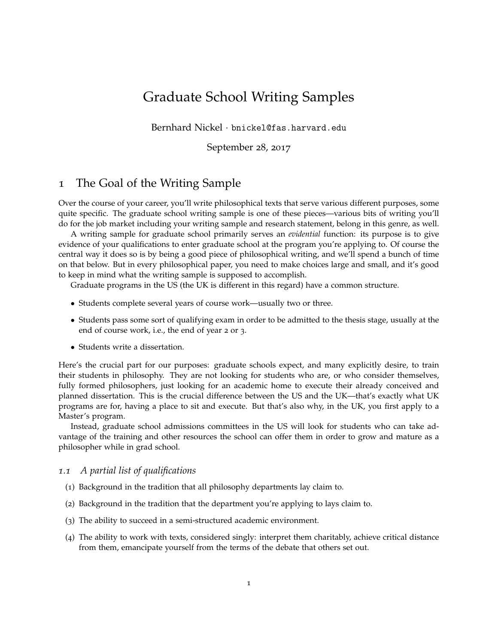# Graduate School Writing Samples

Bernhard Nickel · bnickel@fas.harvard.edu

September 28, 2017

### 1 The Goal of the Writing Sample

Over the course of your career, you'll write philosophical texts that serve various different purposes, some quite specific. The graduate school writing sample is one of these pieces—various bits of writing you'll do for the job market including your writing sample and research statement, belong in this genre, as well.

A writing sample for graduate school primarily serves an *evidential* function: its purpose is to give evidence of your qualifications to enter graduate school at the program you're applying to. Of course the central way it does so is by being a good piece of philosophical writing, and we'll spend a bunch of time on that below. But in every philosophical paper, you need to make choices large and small, and it's good to keep in mind what the writing sample is supposed to accomplish.

Graduate programs in the US (the UK is different in this regard) have a common structure.

- Students complete several years of course work—usually two or three.
- Students pass some sort of qualifying exam in order to be admitted to the thesis stage, usually at the end of course work, i.e., the end of year 2 or 3.
- Students write a dissertation.

Here's the crucial part for our purposes: graduate schools expect, and many explicitly desire, to train their students in philosophy. They are not looking for students who are, or who consider themselves, fully formed philosophers, just looking for an academic home to execute their already conceived and planned dissertation. This is the crucial difference between the US and the UK—that's exactly what UK programs are for, having a place to sit and execute. But that's also why, in the UK, you first apply to a Master's program.

Instead, graduate school admissions committees in the US will look for students who can take advantage of the training and other resources the school can offer them in order to grow and mature as a philosopher while in grad school.

### *1.1 A partial list of qualifications*

- (1) Background in the tradition that all philosophy departments lay claim to.
- (2) Background in the tradition that the department you're applying to lays claim to.
- (3) The ability to succeed in a semi-structured academic environment.
- (4) The ability to work with texts, considered singly: interpret them charitably, achieve critical distance from them, emancipate yourself from the terms of the debate that others set out.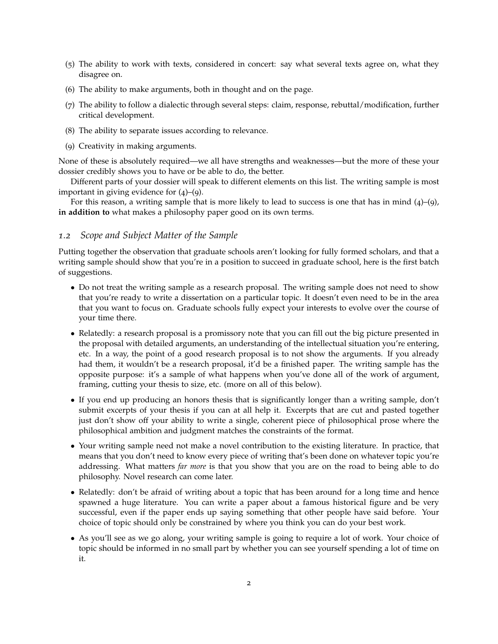- (5) The ability to work with texts, considered in concert: say what several texts agree on, what they disagree on.
- (6) The ability to make arguments, both in thought and on the page.
- (7) The ability to follow a dialectic through several steps: claim, response, rebuttal/modification, further critical development.
- (8) The ability to separate issues according to relevance.
- (9) Creativity in making arguments.

None of these is absolutely required—we all have strengths and weaknesses—but the more of these your dossier credibly shows you to have or be able to do, the better.

Different parts of your dossier will speak to different elements on this list. The writing sample is most important in giving evidence for (4)–(9).

For this reason, a writing sample that is more likely to lead to success is one that has in mind  $(4)$ – $(9)$ , **in addition to** what makes a philosophy paper good on its own terms.

#### *1.2 Scope and Subject Matter of the Sample*

Putting together the observation that graduate schools aren't looking for fully formed scholars, and that a writing sample should show that you're in a position to succeed in graduate school, here is the first batch of suggestions.

- Do not treat the writing sample as a research proposal. The writing sample does not need to show that you're ready to write a dissertation on a particular topic. It doesn't even need to be in the area that you want to focus on. Graduate schools fully expect your interests to evolve over the course of your time there.
- Relatedly: a research proposal is a promissory note that you can fill out the big picture presented in the proposal with detailed arguments, an understanding of the intellectual situation you're entering, etc. In a way, the point of a good research proposal is to not show the arguments. If you already had them, it wouldn't be a research proposal, it'd be a finished paper. The writing sample has the opposite purpose: it's a sample of what happens when you've done all of the work of argument, framing, cutting your thesis to size, etc. (more on all of this below).
- If you end up producing an honors thesis that is significantly longer than a writing sample, don't submit excerpts of your thesis if you can at all help it. Excerpts that are cut and pasted together just don't show off your ability to write a single, coherent piece of philosophical prose where the philosophical ambition and judgment matches the constraints of the format.
- Your writing sample need not make a novel contribution to the existing literature. In practice, that means that you don't need to know every piece of writing that's been done on whatever topic you're addressing. What matters *far more* is that you show that you are on the road to being able to do philosophy. Novel research can come later.
- Relatedly: don't be afraid of writing about a topic that has been around for a long time and hence spawned a huge literature. You can write a paper about a famous historical figure and be very successful, even if the paper ends up saying something that other people have said before. Your choice of topic should only be constrained by where you think you can do your best work.
- As you'll see as we go along, your writing sample is going to require a lot of work. Your choice of topic should be informed in no small part by whether you can see yourself spending a lot of time on it.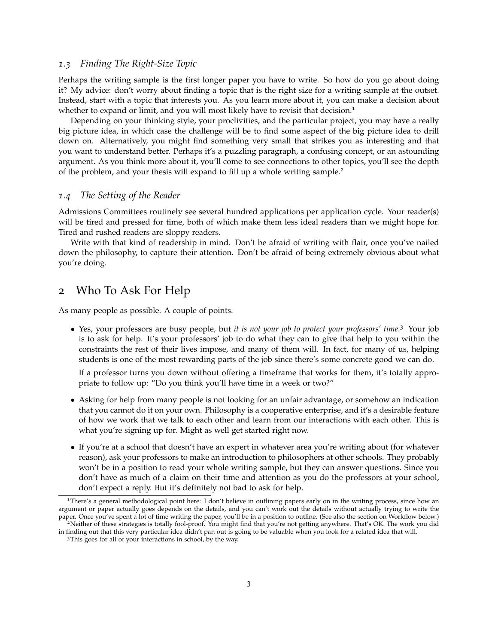### *1.3 Finding The Right-Size Topic*

Perhaps the writing sample is the first longer paper you have to write. So how do you go about doing it? My advice: don't worry about finding a topic that is the right size for a writing sample at the outset. Instead, start with a topic that interests you. As you learn more about it, you can make a decision about whether to expand or limit, and you will most likely have to revisit that decision.<sup>1</sup>

Depending on your thinking style, your proclivities, and the particular project, you may have a really big picture idea, in which case the challenge will be to find some aspect of the big picture idea to drill down on. Alternatively, you might find something very small that strikes you as interesting and that you want to understand better. Perhaps it's a puzzling paragraph, a confusing concept, or an astounding argument. As you think more about it, you'll come to see connections to other topics, you'll see the depth of the problem, and your thesis will expand to fill up a whole writing sample.<sup>2</sup>

#### *1.4 The Setting of the Reader*

Admissions Committees routinely see several hundred applications per application cycle. Your reader(s) will be tired and pressed for time, both of which make them less ideal readers than we might hope for. Tired and rushed readers are sloppy readers.

Write with that kind of readership in mind. Don't be afraid of writing with flair, once you've nailed down the philosophy, to capture their attention. Don't be afraid of being extremely obvious about what you're doing.

### 2 Who To Ask For Help

As many people as possible. A couple of points.

• Yes, your professors are busy people, but *it is not your job to protect your professors' time*. <sup>3</sup> Your job is to ask for help. It's your professors' job to do what they can to give that help to you within the constraints the rest of their lives impose, and many of them will. In fact, for many of us, helping students is one of the most rewarding parts of the job since there's some concrete good we can do.

If a professor turns you down without offering a timeframe that works for them, it's totally appropriate to follow up: "Do you think you'll have time in a week or two?"

- Asking for help from many people is not looking for an unfair advantage, or somehow an indication that you cannot do it on your own. Philosophy is a cooperative enterprise, and it's a desirable feature of how we work that we talk to each other and learn from our interactions with each other. This is what you're signing up for. Might as well get started right now.
- If you're at a school that doesn't have an expert in whatever area you're writing about (for whatever reason), ask your professors to make an introduction to philosophers at other schools. They probably won't be in a position to read your whole writing sample, but they can answer questions. Since you don't have as much of a claim on their time and attention as you do the professors at your school, don't expect a reply. But it's definitely not bad to ask for help.

<sup>1</sup>There's a general methodological point here: I don't believe in outlining papers early on in the writing process, since how an argument or paper actually goes depends on the details, and you can't work out the details without actually trying to write the paper. Once you've spent a lot of time writing the paper, you'll be in a position to outline. (See also the section on Workflow below.) <sup>2</sup>Neither of these strategies is totally fool-proof. You might find that you're not getting anywhere. That's OK. The work you did

in finding out that this very particular idea didn't pan out is going to be valuable when you look for a related idea that will.

<sup>3</sup>This goes for all of your interactions in school, by the way.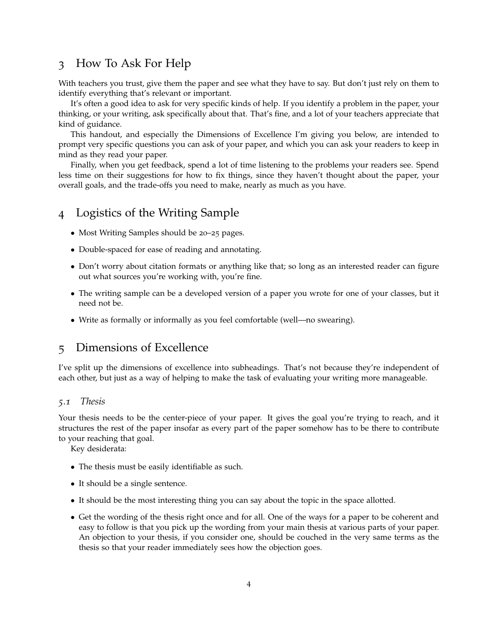## 3 How To Ask For Help

With teachers you trust, give them the paper and see what they have to say. But don't just rely on them to identify everything that's relevant or important.

It's often a good idea to ask for very specific kinds of help. If you identify a problem in the paper, your thinking, or your writing, ask specifically about that. That's fine, and a lot of your teachers appreciate that kind of guidance.

This handout, and especially the Dimensions of Excellence I'm giving you below, are intended to prompt very specific questions you can ask of your paper, and which you can ask your readers to keep in mind as they read your paper.

Finally, when you get feedback, spend a lot of time listening to the problems your readers see. Spend less time on their suggestions for how to fix things, since they haven't thought about the paper, your overall goals, and the trade-offs you need to make, nearly as much as you have.

### 4 Logistics of the Writing Sample

- Most Writing Samples should be 20–25 pages.
- Double-spaced for ease of reading and annotating.
- Don't worry about citation formats or anything like that; so long as an interested reader can figure out what sources you're working with, you're fine.
- The writing sample can be a developed version of a paper you wrote for one of your classes, but it need not be.
- Write as formally or informally as you feel comfortable (well—no swearing).

### 5 Dimensions of Excellence

I've split up the dimensions of excellence into subheadings. That's not because they're independent of each other, but just as a way of helping to make the task of evaluating your writing more manageable.

### *5.1 Thesis*

Your thesis needs to be the center-piece of your paper. It gives the goal you're trying to reach, and it structures the rest of the paper insofar as every part of the paper somehow has to be there to contribute to your reaching that goal.

Key desiderata:

- The thesis must be easily identifiable as such.
- It should be a single sentence.
- It should be the most interesting thing you can say about the topic in the space allotted.
- Get the wording of the thesis right once and for all. One of the ways for a paper to be coherent and easy to follow is that you pick up the wording from your main thesis at various parts of your paper. An objection to your thesis, if you consider one, should be couched in the very same terms as the thesis so that your reader immediately sees how the objection goes.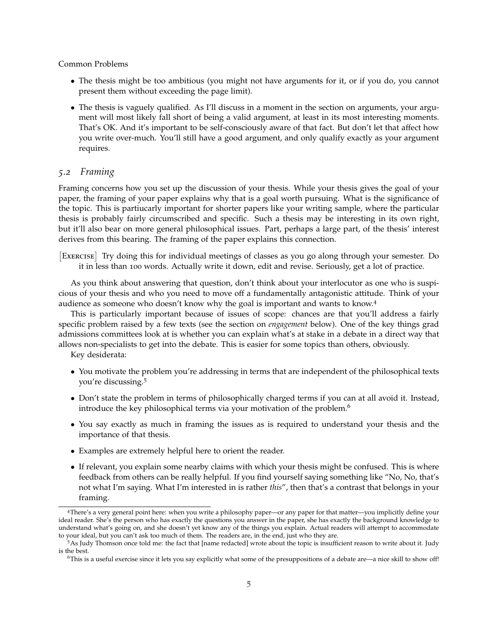Common Problems

- The thesis might be too ambitious (you might not have arguments for it, or if you do, you cannot present them without exceeding the page limit).
- The thesis is vaguely qualified. As I'll discuss in a moment in the section on arguments, your argument will most likely fall short of being a valid argument, at least in its most interesting moments. That's OK. And it's important to be self-consciously aware of that fact. But don't let that affect how you write over-much. You'll still have a good argument, and only qualify exactly as your argument requires.

#### *5.2 Framing*

Framing concerns how you set up the discussion of your thesis. While your thesis gives the goal of your paper, the framing of your paper explains why that is a goal worth pursuing. What is the significance of the topic. This is partiucarly important for shorter papers like your writing sample, where the particular thesis is probably fairly circumscribed and specific. Such a thesis may be interesting in its own right, but it'll also bear on more general philosophical issues. Part, perhaps a large part, of the thesis' interest derives from this bearing. The framing of the paper explains this connection.

[EXERCISE] Try doing this for individual meetings of classes as you go along through your semester. Do it in less than 100 words. Actually write it down, edit and revise. Seriously, get a lot of practice.

As you think about answering that question, don't think about your interlocutor as one who is suspicious of your thesis and who you need to move off a fundamentally antagonistic attitude. Think of your audience as someone who doesn't know why the goal is important and wants to know.<sup>4</sup>

This is particularly important because of issues of scope: chances are that you'll address a fairly specific problem raised by a few texts (see the section on *engagement* below). One of the key things grad admissions committees look at is whether you can explain what's at stake in a debate in a direct way that allows non-specialists to get into the debate. This is easier for some topics than others, obviously.

Key desiderata:

- You motivate the problem you're addressing in terms that are independent of the philosophical texts you're discussing.<sup>5</sup>
- Don't state the problem in terms of philosophically charged terms if you can at all avoid it. Instead, introduce the key philosophical terms via your motivation of the problem.<sup>6</sup>
- You say exactly as much in framing the issues as is required to understand your thesis and the importance of that thesis.
- Examples are extremely helpful here to orient the reader.
- If relevant, you explain some nearby claims with which your thesis might be confused. This is where feedback from others can be really helpful. If you find yourself saying something like "No, No, that's not what I'm saying. What I'm interested in is rather *this*", then that's a contrast that belongs in your framing.

<sup>4</sup>There's a very general point here: when you write a philosophy paper—or any paper for that matter—you implicitly define your ideal reader. She's the person who has exactly the questions you answer in the paper, she has exactly the background knowledge to understand what's going on, and she doesn't yet know any of the things you explain. Actual readers will attempt to accommodate to your ideal, but you can't ask too much of them. The readers are, in the end, just who they are.

<sup>5</sup>As Judy Thomson once told me: the fact that [name redacted] wrote about the topic is insufficient reason to write about it. Judy is the best.

<sup>6</sup>This is a useful exercise since it lets you say explicitly what some of the presuppositions of a debate are—a nice skill to show off!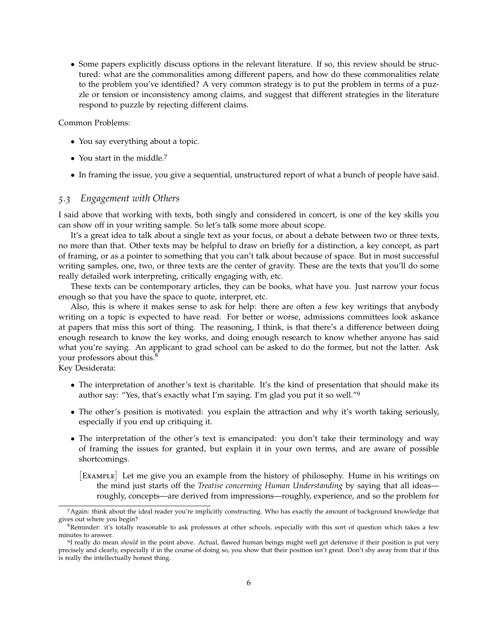• Some papers explicitly discuss options in the relevant literature. If so, this review should be structured: what are the commonalities among different papers, and how do these commonalities relate to the problem you've identified? A very common strategy is to put the problem in terms of a puzzle or tension or inconsistency among claims, and suggest that different strategies in the literature respond to puzzle by rejecting different claims.

Common Problems:

- You say everything about a topic.
- You start in the middle.<sup>7</sup>
- In framing the issue, you give a sequential, unstructured report of what a bunch of people have said.

#### *5.3 Engagement with Others*

I said above that working with texts, both singly and considered in concert, is one of the key skills you can show off in your writing sample. So let's talk some more about scope.

It's a great idea to talk about a single text as your focus, or about a debate between two or three texts, no more than that. Other texts may be helpful to draw on briefly for a distinction, a key concept, as part of framing, or as a pointer to something that you can't talk about because of space. But in most successful writing samples, one, two, or three texts are the center of gravity. These are the texts that you'll do some really detailed work interpreting, critically engaging with, etc.

These texts can be contemporary articles, they can be books, what have you. Just narrow your focus enough so that you have the space to quote, interpret, etc.

Also, this is where it makes sense to ask for help: there are often a few key writings that anybody writing on a topic is expected to have read. For better or worse, admissions committees look askance at papers that miss this sort of thing. The reasoning, I think, is that there's a difference between doing enough research to know the key works, and doing enough research to know whether anyone has said what you're saying. An applicant to grad school can be asked to do the former, but not the latter. Ask your professors about this.<sup>8</sup>

Key Desiderata:

- The interpretation of another's text is charitable. It's the kind of presentation that should make its author say: "Yes, that's exactly what I'm saying. I'm glad you put it so well."<sup>9</sup>
- The other's position is motivated: you explain the attraction and why it's worth taking seriously, especially if you end up critiquing it.
- The interpretation of the other's text is emancipated: you don't take their terminology and way of framing the issues for granted, but explain it in your own terms, and are aware of possible shortcomings.
	- [EXAMPLE] Let me give you an example from the history of philosophy. Hume in his writings on the mind just starts off the *Treatise concerning Human Understanding* by saying that all ideas roughly, concepts—are derived from impressions—roughly, experience, and so the problem for

<sup>7</sup>Again: think about the ideal reader you're implicitly constructing. Who has exactly the amount of background knowledge that gives out where you begin?

<sup>&</sup>lt;sup>8</sup>Reminder: it's totally reasonable to ask professors at other schools, especially with this sort of question which takes a few minutes to answer.

<sup>9</sup> I really do mean *should* in the point above. Actual, flawed human beings might well get defensive if their position is put very precisely and clearly, especially if in the course of doing so, you show that their position isn't great. Don't shy away from that if this is really the intellectually honest thing.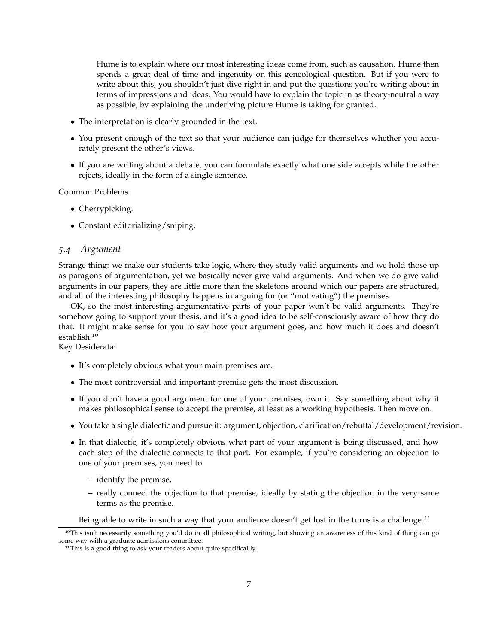Hume is to explain where our most interesting ideas come from, such as causation. Hume then spends a great deal of time and ingenuity on this geneological question. But if you were to write about this, you shouldn't just dive right in and put the questions you're writing about in terms of impressions and ideas. You would have to explain the topic in as theory-neutral a way as possible, by explaining the underlying picture Hume is taking for granted.

- The interpretation is clearly grounded in the text.
- You present enough of the text so that your audience can judge for themselves whether you accurately present the other's views.
- If you are writing about a debate, you can formulate exactly what one side accepts while the other rejects, ideally in the form of a single sentence.

Common Problems

- Cherrypicking.
- Constant editorializing/sniping.

### *5.4 Argument*

Strange thing: we make our students take logic, where they study valid arguments and we hold those up as paragons of argumentation, yet we basically never give valid arguments. And when we do give valid arguments in our papers, they are little more than the skeletons around which our papers are structured, and all of the interesting philosophy happens in arguing for (or "motivating") the premises.

OK, so the most interesting argumentative parts of your paper won't be valid arguments. They're somehow going to support your thesis, and it's a good idea to be self-consciously aware of how they do that. It might make sense for you to say how your argument goes, and how much it does and doesn't establish.<sup>10</sup>

Key Desiderata:

- It's completely obvious what your main premises are.
- The most controversial and important premise gets the most discussion.
- If you don't have a good argument for one of your premises, own it. Say something about why it makes philosophical sense to accept the premise, at least as a working hypothesis. Then move on.
- You take a single dialectic and pursue it: argument, objection, clarification/rebuttal/development/revision.
- In that dialectic, it's completely obvious what part of your argument is being discussed, and how each step of the dialectic connects to that part. For example, if you're considering an objection to one of your premises, you need to
	- **–** identify the premise,
	- **–** really connect the objection to that premise, ideally by stating the objection in the very same terms as the premise.

Being able to write in such a way that your audience doesn't get lost in the turns is a challenge.<sup>11</sup>

<sup>&</sup>lt;sup>10</sup>This isn't necessarily something you'd do in all philosophical writing, but showing an awareness of this kind of thing can go some way with a graduate admissions committee.

<sup>&</sup>lt;sup>11</sup>This is a good thing to ask your readers about quite specificallly.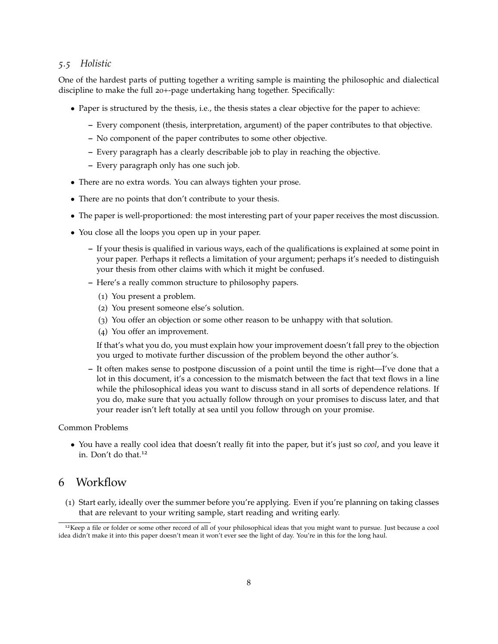### *5.5 Holistic*

One of the hardest parts of putting together a writing sample is mainting the philosophic and dialectical discipline to make the full 20+-page undertaking hang together. Specifically:

- Paper is structured by the thesis, i.e., the thesis states a clear objective for the paper to achieve:
	- **–** Every component (thesis, interpretation, argument) of the paper contributes to that objective.
	- **–** No component of the paper contributes to some other objective.
	- **–** Every paragraph has a clearly describable job to play in reaching the objective.
	- **–** Every paragraph only has one such job.
- There are no extra words. You can always tighten your prose.
- There are no points that don't contribute to your thesis.
- The paper is well-proportioned: the most interesting part of your paper receives the most discussion.
- You close all the loops you open up in your paper.
	- **–** If your thesis is qualified in various ways, each of the qualifications is explained at some point in your paper. Perhaps it reflects a limitation of your argument; perhaps it's needed to distinguish your thesis from other claims with which it might be confused.
	- **–** Here's a really common structure to philosophy papers.
		- (1) You present a problem.
		- (2) You present someone else's solution.
		- (3) You offer an objection or some other reason to be unhappy with that solution.
		- (4) You offer an improvement.

If that's what you do, you must explain how your improvement doesn't fall prey to the objection you urged to motivate further discussion of the problem beyond the other author's.

**–** It often makes sense to postpone discussion of a point until the time is right—I've done that a lot in this document, it's a concession to the mismatch between the fact that text flows in a line while the philosophical ideas you want to discuss stand in all sorts of dependence relations. If you do, make sure that you actually follow through on your promises to discuss later, and that your reader isn't left totally at sea until you follow through on your promise.

Common Problems

• You have a really cool idea that doesn't really fit into the paper, but it's just so *cool*, and you leave it in. Don't do that.<sup>12</sup>

## 6 Workflow

(1) Start early, ideally over the summer before you're applying. Even if you're planning on taking classes that are relevant to your writing sample, start reading and writing early.

 $12$ Keep a file or folder or some other record of all of your philosophical ideas that you might want to pursue. Just because a cool idea didn't make it into this paper doesn't mean it won't ever see the light of day. You're in this for the long haul.